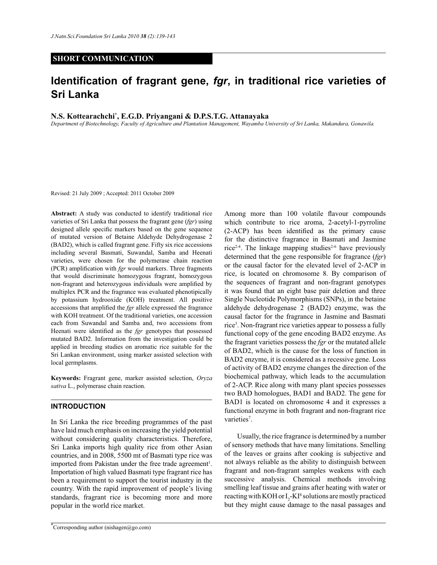# **SHORT COMMUNICATION**

# **Identification of fragrant gene,** *fgr***, in traditional rice varieties of Sri Lanka**

## **N.S. Kottearachchi\* , E.G.D. Priyangani & D.P.S.T.G. Attanayaka**

*Department of Biotechnology, Faculty of Agriculture and Plantation Management, Wayamba University of Sri Lanka, Makandura, Gonawila.*

Revised: 21 July 2009 ; Accepted: 2011 October 2009

**Abstract:** A study was conducted to identify traditional rice varieties of Sri Lanka that possess the fragrant gene (*fgr*) using designed allele specific markers based on the gene sequence of mutated version of Betaine Aldehyde Dehydrogenase 2 (BAD2), which is called fragrant gene. Fifty six rice accessions including several Basmati, Suwandal, Samba and Heenati varieties, were chosen for the polymerase chain reaction (PCR) amplification with *fgr* would markers. Three fragments that would discriminate homozygous fragrant, homozygous non-fragrant and heterozygous individuals were amplified by multiplex PCR and the fragrance was evaluated phenotipically by potassium hydrooxide (KOH) treatment. All positive accessions that amplified the *fgr* allele expressed the fragrance with KOH treatment. Of the traditional varieties, one accession each from Suwandal and Samba and, two accessions from Heenati were identified as the *fgr* genotypes that possessed mutated BAD2. Information from the investigation could be applied in breeding studies on aromatic rice suitable for the Sri Lankan environment, using marker assisted selection with local germplasms.

**Keywords:** Fragrant gene, marker assisted selection, *Oryza sativa* L., polymerase chain reaction.

### **INTRODUCTION**

In Sri Lanka the rice breeding programmes of the past have laid much emphasis on increasing the yield potential without considering quality characteristics. Therefore, Sri Lanka imports high quality rice from other Asian countries, and in 2008, 5500 mt of Basmati type rice was imported from Pakistan under the free trade agreement<sup>1</sup>. Importation of high valued Basmati type fragrant rice has been a requirement to support the tourist industry in the country. With the rapid improvement of people's living standards, fragrant rice is becoming more and more popular in the world rice market.

\*Corresponding author (nishagen@go.com)

Among more than 100 volatile flavour compounds which contribute to rice aroma, 2-acetyl-1-pyrroline (2-ACP) has been identified as the primary cause for the distinctive fragrance in Basmati and Jasmine rice<sup>2-4</sup>. The linkage mapping studies<sup>2-6</sup> have previously determined that the gene responsible for fragrance (*fgr*) or the causal factor for the elevated level of 2-ACP in rice, is located on chromosome 8. By comparison of the sequences of fragrant and non-fragrant genotypes it was found that an eight base pair deletion and three Single Nucleotide Polymorphisms (SNPs), in the betaine aldehyde dehydrogenase 2 (BAD2) enzyme, was the causal factor for the fragrance in Jasmine and Basmati rice<sup>3</sup>. Non-fragrant rice varieties appear to possess a fully functional copy of the gene encoding BAD2 enzyme. As the fragrant varieties possess the *fgr* or the mutated allele of BAD2, which is the cause for the loss of function in BAD2 enzyme, it is considered as a recessive gene. Loss of activity of BAD2 enzyme changes the direction of the biochemical pathway, which leads to the accumulation of 2-ACP. Rice along with many plant species possesses two BAD homologues, BAD1 and BAD2. The gene for BAD1 is located on chromosome 4 and it expresses a functional enzyme in both fragrant and non-fragrant rice varieties<sup>7</sup>.

 Usually, the rice fragrance is determined by a number of sensory methods that have many limitations. Smelling of the leaves or grains after cooking is subjective and not always reliable as the ability to distinguish between fragrant and non-fragrant samples weakens with each successive analysis. Chemical methods involving smelling leaf tissue and grains after heating with water or reacting with KOH or  $I_2$ -KI<sup>8</sup> solutions are mostly practiced but they might cause damage to the nasal passages and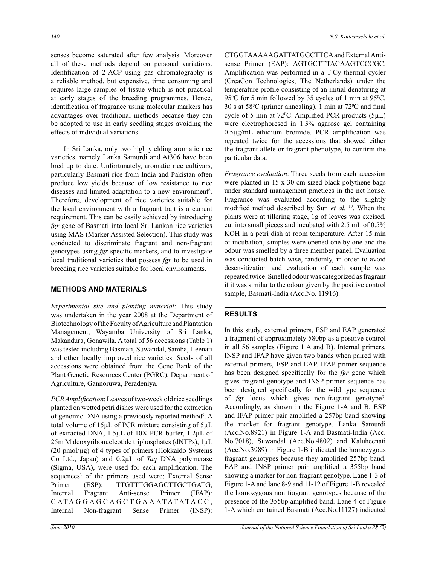senses become saturated after few analysis. Moreover all of these methods depend on personal variations. Identification of 2-ACP using gas chromatography is a reliable method, but expensive, time consuming and requires large samples of tissue which is not practical at early stages of the breeding programmes. Hence, identification of fragrance using molecular markers has advantages over traditional methods because they can be adopted to use in early seedling stages avoiding the effects of individual variations.

 In Sri Lanka, only two high yielding aromatic rice varieties, namely Lanka Samurdi and At306 have been bred up to date. Unfortunately, aromatic rice cultivars, particularly Basmati rice from India and Pakistan often produce low yields because of low resistance to rice diseases and limited adaptation to a new environment<sup>6</sup>. Therefore, development of rice varieties suitable for the local environment with a fragrant trait is a current requirement. This can be easily achieved by introducing *fgr* gene of Basmati into local Sri Lankan rice varieties using MAS (Marker Assisted Selection). This study was conducted to discriminate fragrant and non-fragrant genotypes using *fgr* specific markers, and to investigate local traditional varieties that possess *fgr* to be used in breeding rice varieties suitable for local environments.

# **METHODS AND MATERIALS**

*Experimental site and planting material*: This study was undertaken in the year 2008 at the Department of Biotechnology of the Faculty of Agriculture and Plantation Management, Wayamba University of Sri Lanka, Makandura, Gonawila. A total of 56 accessions (Table 1) was tested including Basmati, Suwandal, Samba, Heenati and other locally improved rice varieties. Seeds of all accessions were obtained from the Gene Bank of the Plant Genetic Resources Center (PGRC), Department of Agriculture, Gannoruwa, Peradeniya.

*PCR Amplification*: Leaves of two-week old rice seedlings planted on wetted petri dishes were used for the extraction of genomic DNA using a previously reported method<sup>9</sup>. A total volume of 15µL of PCR mixture consisting of 5µL of extracted DNA, 1.5µL of 10X PCR buffer, 1.2µL of 25m M deoxyribonucleotide triphosphates (dNTPs), 1µL (20 pmol/ $\mu$ g) of 4 types of primers (Hokkaido Systems Co Ltd., Japan) and 0.2µL of *Taq* DNA polymerase (Sigma, USA), were used for each amplification. The sequences<sup>3</sup> of the primers used were; External Sense Primer (ESP): TTGTTTGGAGCTTGCTGATG, Internal Fragrant Anti-sense Primer (IFAP): CATAGGAGCAGCTGAAATATATACC, Internal Non-fragrant Sense Primer (INSP):

CTGGTAAAAAGATTATGGCTTCA and External Antisense Primer (EAP): AGTGCTTTACAAGTCCCGC. Amplification was performed in a T-Cy thermal cycler (CreaCon Technologies, The Netherlands) under the temperature profile consisting of an initial denaturing at 95<sup>o</sup>C for 5 min followed by 35 cycles of 1 min at 95<sup>o</sup>C, 30 s at  $58^{\circ}$ C (primer annealing), 1 min at  $72^{\circ}$ C and final cycle of 5 min at 72 $\degree$ C. Amplified PCR products (5 $\mu$ L) were electrophoresed in 1.3% agarose gel containing 0.5µg/mL ethidium bromide. PCR amplification was repeated twice for the accessions that showed either the fragrant allele or fragrant phenotype, to confirm the particular data.

*Fragrance evaluation*: Three seeds from each accession were planted in 15 x 30 cm sized black polythene bags under standard management practices in the net house. Fragrance was evaluated according to the slightly modified method described by Sun *et al.* <sup>10</sup>. When the plants were at tillering stage, 1g of leaves was excised, cut into small pieces and incubated with 2.5 mL of 0.5% KOH in a petri dish at room temperature. After 15 min of incubation, samples were opened one by one and the odour was smelled by a three member panel. Evaluation was conducted batch wise, randomly, in order to avoid desensitization and evaluation of each sample was repeated twice. Smelled odour was categorized as fragrant if it was similar to the odour given by the positive control sample, Basmati-India (Acc.No. 11916).

# **RESULTS**

In this study, external primers, ESP and EAP generated a fragment of approximately 580bp as a positive control in all 56 samples (Figure 1 A and B). Internal primers, INSP and IFAP have given two bands when paired with external primers, ESP and EAP. IFAP primer sequence has been designed specifically for the *fgr* gene which gives fragrant genotype and INSP primer sequence has been designed specifically for the wild type sequence of *fgr* locus which gives non-fragrant genotype<sup>3</sup>. Accordingly, as shown in the Figure 1-A and B, ESP and IFAP primer pair amplified a 257bp band showing the marker for fragrant genotype. Lanka Samurdi (Acc.No.8921) in Figure 1-A and Basmati-India (Acc. No.7018), Suwandal (Acc.No.4802) and Kaluheenati (Acc.No.3989) in Figure 1-B indicated the homozygous fragrant genotypes because they amplified 257bp band. EAP and INSP primer pair amplified a 355bp band showing a marker for non-fragrant genotype. Lane 1-3 of Figure 1-A and lane 8-9 and 11-12 of Figure 1-B revealed the homozygous non fragrant genotypes because of the presence of the 355bp amplified band. Lane 4 of Figure 1-A which contained Basmati (Acc.No.11127) indicated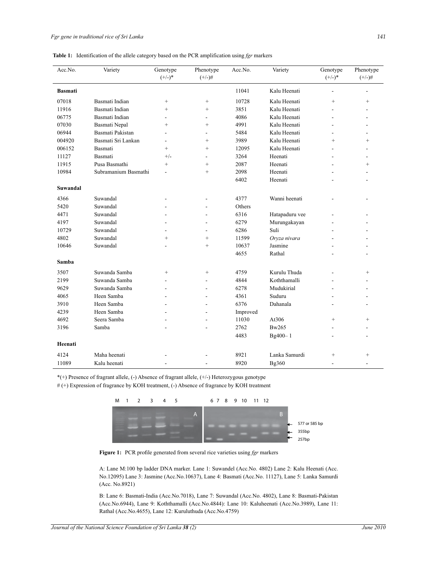|  | <b>Table 1:</b> Identification of the allele category based on the PCR amplification using $fgr$ markers |  |  |  |  |  |  |  |
|--|----------------------------------------------------------------------------------------------------------|--|--|--|--|--|--|--|
|--|----------------------------------------------------------------------------------------------------------|--|--|--|--|--|--|--|

| Acc.No.        | Variety              | Genotype<br>$(+/-)*$ | Phenotype<br>$(+/-)$ # | Acc.No.  | Variety        | Genotype<br>$(+/-)*$ | Phenotype<br>$(+/-)$ #   |
|----------------|----------------------|----------------------|------------------------|----------|----------------|----------------------|--------------------------|
| <b>Basmati</b> |                      |                      |                        | 11041    | Kalu Heenati   | $\overline{a}$       |                          |
| 07018          | Basmati Indian       | $\! + \!\!\!\!$      | $\! + \!\!\!\!$        | 10728    | Kalu Heenati   | $^{+}$               | $^{+}$                   |
| 11916          | Basmati Indian       | $^{+}$               | $^{+}$                 | 3851     | Kalu Heenati   |                      |                          |
| 06775          | Basmati Indian       |                      | $\overline{a}$         | 4086     | Kalu Heenati   |                      |                          |
| 07030          | Basmati Nepal        | $^{+}$               | $^{+}$                 | 4991     | Kalu Heenati   |                      |                          |
| 06944          | Basmati Pakistan     |                      | ÷.                     | 5484     | Kalu Heenati   | ÷.                   |                          |
| 004920         | Basmati Sri Lankan   |                      | $^{+}$                 | 3989     | Kalu Heenati   | $\ddot{}$            | $+$                      |
| 006152         | Basmati              | $^{+}$               | $^{+}$                 | 12095    | Kalu Heenati   |                      |                          |
| 11127          | Basmati              | $^{+/-}$             | ÷.                     | 3264     | Heenati        |                      |                          |
| 11915          | Pusa Basmathi        | $^{+}$               | $^{+}$                 | 2087     | Heenati        |                      | $^{+}$                   |
| 10984          | Subramanium Basmathi | $\overline{a}$       | $^{+}$                 | 2098     | Heenati        |                      |                          |
|                |                      |                      |                        | 6402     | Heenati        |                      | $\overline{a}$           |
| Suwandal       |                      |                      |                        |          |                |                      |                          |
| 4366           | Suwandal             |                      | L,                     | 4377     | Wanni heenati  |                      |                          |
| 5420           | Suwandal             |                      |                        | Others   |                |                      |                          |
| 4471           | Suwandal             |                      |                        | 6316     | Hatapaduru vee |                      |                          |
| 4197           | Suwandal             |                      |                        | 6279     | Murungakayan   |                      |                          |
| 10729          | Suwandal             |                      |                        | 6286     | Suli           |                      |                          |
| 4802           | Suwandal             | $\ddot{}$            | $^{+}$                 | 11599    | Oryza nivara   |                      |                          |
| 10646          | Suwandal             |                      | $^{+}$                 | 10637    | Jasmine        |                      |                          |
|                |                      |                      |                        | 4655     | Rathal         |                      |                          |
| Samba          |                      |                      |                        |          |                |                      |                          |
| 3507           | Suwanda Samba        | $^{+}$               | $^{+}$                 | 4759     | Kurulu Thuda   |                      | $^{+}$                   |
| 2199           | Suwanda Samba        | ÷                    | ÷.                     | 4844     | Koththamalli   |                      |                          |
| 9629           | Suwanda Samba        |                      | L.                     | 6278     | Mudukirial     |                      |                          |
| 4065           | Heen Samba           |                      |                        | 4361     | Suduru         |                      |                          |
| 3910           | Heen Samba           | L.                   |                        | 6376     | Dahanala       |                      |                          |
| 4239           | Heen Samba           |                      |                        | Improved |                |                      |                          |
| 4692           | Seera Samba          |                      |                        | 11030    | At306          | $^{+}$               | $^{+}$                   |
| 3196           | Samba                |                      |                        | 2762     | Bw265          |                      |                          |
|                |                      |                      |                        | 4483     | Bg400-1        |                      |                          |
| Heenati        |                      |                      |                        |          |                |                      |                          |
| 4124           | Maha heenati         |                      |                        | 8921     | Lanka Samurdi  | $^{+}$               | $^{+}$                   |
| 11089          | Kalu heenati         | $\overline{a}$       | $\overline{a}$         | 8920     | Bg360          | $\overline{a}$       | $\overline{\phantom{a}}$ |

\*(+) Presence of fragrant allele, (-) Absence of fragrant allele, (+/-) Heterozygous genotype

# (+) Expression of fragrance by KOH treatment, (-) Absence of fragrance by KOH treatment



**Figure 1:** PCR profile generated from several rice varieties using *fgr* markers

A: Lane M:100 bp ladder DNA marker. Lane 1: Suwandel (Acc.No. 4802) Lane 2: Kalu Heenati (Acc. No.12095) Lane 3: Jasmine (Acc.No.10637), Lane 4: Basmati (Acc.No. 11127), Lane 5: Lanka Samurdi (Acc. No.8921)

B: Lane 6: Basmati-India (Acc.No.7018), Lane 7: Suwandal (Acc.No. 4802), Lane 8: Basmati-Pakistan (Acc.No.6944), Lane 9: Koththamalli (Acc.No.4844): Lane 10: Kaluheenati (Acc.No.3989), Lane 11: Rathal (Acc.No.4655), Lane 12: Kuruluthuda (Acc.No.4759)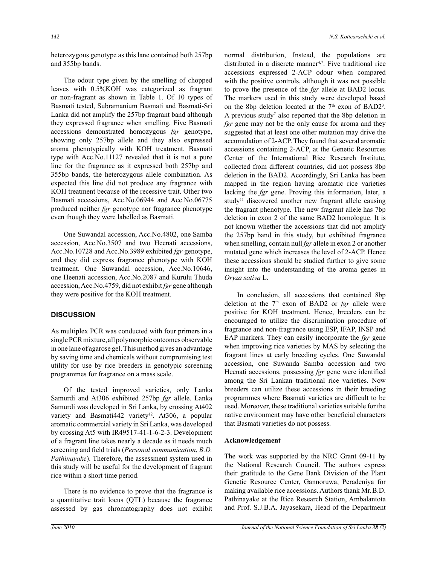heterozygous genotype as this lane contained both 257bp and 355bp bands.

 The odour type given by the smelling of chopped leaves with 0.5%KOH was categorized as fragrant or non-fragrant as shown in Table 1. Of 10 types of Basmati tested, Subramanium Basmati and Basmati-Sri Lanka did not amplify the 257bp fragrant band although they expressed fragrance when smelling. Five Basmati accessions demonstrated homozygous *fgr* genotype, showing only 257bp allele and they also expressed aroma phenotypically with KOH treatment. Basmati type with Acc.No.11127 revealed that it is not a pure line for the fragrance as it expressed both 257bp and 355bp bands, the heterozygous allele combination. As expected this line did not produce any fragrance with KOH treatment because of the recessive trait. Other two Basmati accessions, Acc.No.06944 and Acc.No.06775 produced neither *fgr* genotype nor fragrance phenotype even though they were labelled as Basmati.

 One Suwandal accession, Acc.No.4802, one Samba accession, Acc.No.3507 and two Heenati accessions, Acc.No.10728 and Acc.No.3989 exhibited *fgr* genotype, and they did express fragrance phenotype with KOH treatment. One Suwandal accession, Acc.No.10646, one Heenati accession, Acc.No.2087 and Kurulu Thuda accession, Acc.No.4759, did not exhibit *fgr* gene although they were positive for the KOH treatment.

#### **DISCUSSION**

As multiplex PCR was conducted with four primers in a single PCR mixture, all polymorphic outcomes observable in one lane of agarose gel. This method gives an advantage by saving time and chemicals without compromising test utility for use by rice breeders in genotypic screening programmes for fragrance on a mass scale.

 Of the tested improved varieties, only Lanka Samurdi and At306 exhibited 257bp *fgr* allele. Lanka Samurdi was developed in Sri Lanka, by crossing At402 variety and Basmati442 variety<sup>12</sup>. At306, a popular aromatic commercial variety in Sri Lanka, was developed by crossing At5 with IR49517-41-1-6-2-3. Development of a fragrant line takes nearly a decade as it needs much screening and field trials (*Personal communication*, *B.D. Pathinayake*). Therefore, the assessment system used in this study will be useful for the development of fragrant rice within a short time period.

 There is no evidence to prove that the fragrance is a quantitative trait locus (QTL) because the fragrance assessed by gas chromatography does not exhibit

normal distribution, Instead, the populations are distributed in a discrete manner<sup>4,7</sup>. Five traditional rice accessions expressed 2-ACP odour when compared with the positive controls, although it was not possible to prove the presence of the *fgr* allele at BAD2 locus. The markers used in this study were developed based on the 8bp deletion located at the  $7<sup>th</sup>$  exon of BAD2<sup>3</sup>. A previous study<sup>7</sup> also reported that the 8bp deletion in *fgr* gene may not be the only cause for aroma and they suggested that at least one other mutation may drive the accumulation of 2-ACP. They found that several aromatic accessions containing 2-ACP, at the Genetic Resources Center of the International Rice Research Institute, collected from different countries, did not possess 8bp deletion in the BAD2. Accordingly, Sri Lanka has been mapped in the region having aromatic rice varieties lacking the *fgr* gene. Proving this information, later, a study<sup>11</sup> discovered another new fragrant allele causing the fragrant phenotype. The new fragrant allele has 7bp deletion in exon 2 of the same BAD2 homologue. It is not known whether the accessions that did not amplify the 257bp band in this study, but exhibited fragrance when smelling, contain null *fgr* allele in exon 2 or another mutated gene which increases the level of 2-ACP. Hence these accessions should be studied further to give some insight into the understanding of the aroma genes in *Oryza sativa* L.

 In conclusion, all accessions that contained 8bp deletion at the 7th exon of BAD2 or *fgr* allele were positive for KOH treatment. Hence, breeders can be encouraged to utilize the discrimination procedure of fragrance and non-fragrance using ESP, IFAP, INSP and EAP markers. They can easily incorporate the *fgr* gene when improving rice varieties by MAS by selecting the fragrant lines at early breeding cycles. One Suwandal accession, one Suwanda Samba accession and two Heenati accessions, possessing *fgr* gene were identified among the Sri Lankan traditional rice varieties. Now breeders can utilize these accessions in their breeding programmes where Basmati varieties are difficult to be used. Moreover, these traditional varieties suitable for the native environment may have other beneficial characters that Basmati varieties do not possess.

#### **Acknowledgement**

The work was supported by the NRC Grant 09-11 by the National Research Council. The authors express their gratitude to the Gene Bank Division of the Plant Genetic Resource Center, Gannoruwa, Peradeniya for making available rice accessions. Authors thank Mr.B.D. Pathinayake at the Rice Research Station, Ambalantota and Prof. S.J.B.A. Jayasekara, Head of the Department